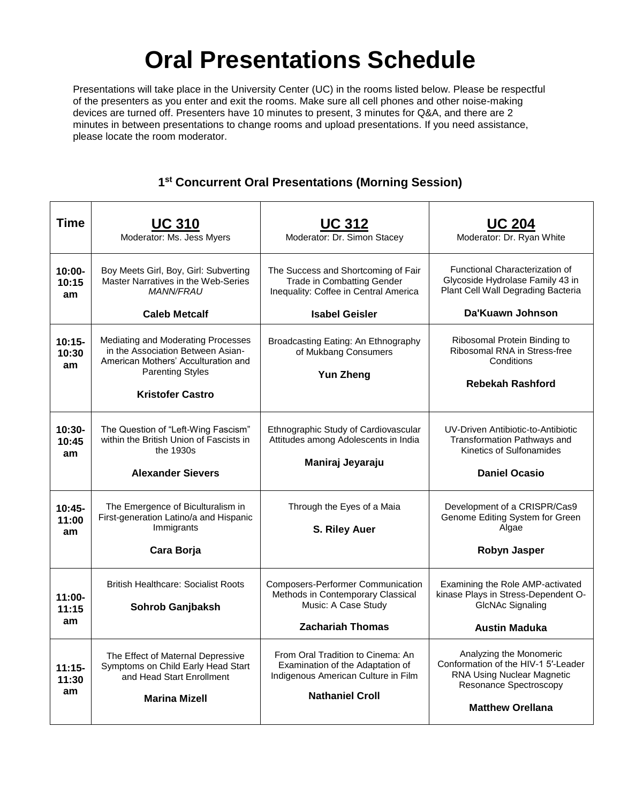## **Oral Presentations Schedule**

Presentations will take place in the University Center (UC) in the rooms listed below. Please be respectful of the presenters as you enter and exit the rooms. Make sure all cell phones and other noise-making devices are turned off. Presenters have 10 minutes to present, 3 minutes for Q&A, and there are 2 minutes in between presentations to change rooms and upload presentations. If you need assistance, please locate the room moderator.

## **1 st Concurrent Oral Presentations (Morning Session)**

| <b>Time</b>              | <b>UC 310</b><br>Moderator: Ms. Jess Myers                                                                                                                           | <b>UC 312</b><br>Moderator: Dr. Simon Stacey                                                                                           | <b>UC 204</b><br>Moderator: Dr. Ryan White                                                                                                               |
|--------------------------|----------------------------------------------------------------------------------------------------------------------------------------------------------------------|----------------------------------------------------------------------------------------------------------------------------------------|----------------------------------------------------------------------------------------------------------------------------------------------------------|
| 10:00-<br>10:15<br>am    | Boy Meets Girl, Boy, Girl: Subverting<br>Master Narratives in the Web-Series<br><b>MANN/FRAU</b>                                                                     | The Success and Shortcoming of Fair<br><b>Trade in Combatting Gender</b><br>Inequality: Coffee in Central America                      | Functional Characterization of<br>Glycoside Hydrolase Family 43 in<br>Plant Cell Wall Degrading Bacteria                                                 |
|                          | <b>Caleb Metcalf</b>                                                                                                                                                 | <b>Isabel Geisler</b>                                                                                                                  | Da'Kuawn Johnson                                                                                                                                         |
| $10:15 -$<br>10:30<br>am | Mediating and Moderating Processes<br>in the Association Between Asian-<br>American Mothers' Acculturation and<br><b>Parenting Styles</b><br><b>Kristofer Castro</b> | Broadcasting Eating: An Ethnography<br>of Mukbang Consumers<br><b>Yun Zheng</b>                                                        | Ribosomal Protein Binding to<br>Ribosomal RNA in Stress-free<br>Conditions<br><b>Rebekah Rashford</b>                                                    |
|                          |                                                                                                                                                                      |                                                                                                                                        |                                                                                                                                                          |
| $10:30-$<br>10:45<br>am  | The Question of "Left-Wing Fascism"<br>within the British Union of Fascists in<br>the 1930s                                                                          | Ethnographic Study of Cardiovascular<br>Attitudes among Adolescents in India                                                           | UV-Driven Antibiotic-to-Antibiotic<br>Transformation Pathways and<br>Kinetics of Sulfonamides                                                            |
|                          | <b>Alexander Sievers</b>                                                                                                                                             | Maniraj Jeyaraju                                                                                                                       | <b>Daniel Ocasio</b>                                                                                                                                     |
| $10:45-$<br>11:00<br>am  | The Emergence of Biculturalism in<br>First-generation Latino/a and Hispanic<br>Immigrants                                                                            | Through the Eyes of a Maia<br>S. Riley Auer                                                                                            | Development of a CRISPR/Cas9<br>Genome Editing System for Green<br>Algae                                                                                 |
|                          | Cara Borja                                                                                                                                                           |                                                                                                                                        | Robyn Jasper                                                                                                                                             |
| $11:00 -$<br>11:15<br>am | <b>British Healthcare: Socialist Roots</b><br>Sohrob Ganjbaksh                                                                                                       | <b>Composers-Performer Communication</b><br>Methods in Contemporary Classical<br>Music: A Case Study                                   | Examining the Role AMP-activated<br>kinase Plays in Stress-Dependent O-<br><b>GIcNAc Signaling</b>                                                       |
|                          |                                                                                                                                                                      | <b>Zachariah Thomas</b>                                                                                                                | <b>Austin Maduka</b>                                                                                                                                     |
| $11:15-$<br>11:30<br>am  | The Effect of Maternal Depressive<br>Symptoms on Child Early Head Start<br>and Head Start Enrollment<br><b>Marina Mizell</b>                                         | From Oral Tradition to Cinema: An<br>Examination of the Adaptation of<br>Indigenous American Culture in Film<br><b>Nathaniel Croll</b> | Analyzing the Monomeric<br>Conformation of the HIV-1 5'-Leader<br><b>RNA Using Nuclear Magnetic</b><br>Resonance Spectroscopy<br><b>Matthew Orellana</b> |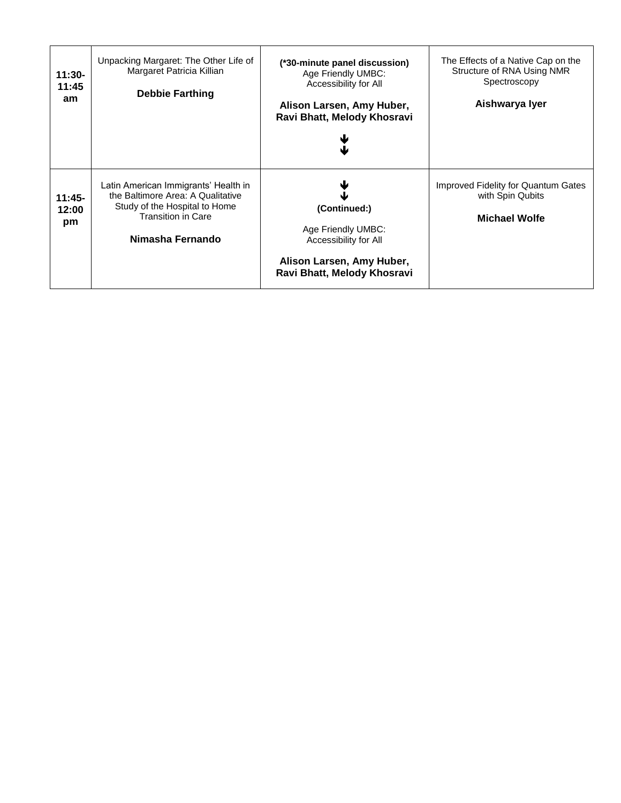| $11:30-$<br>11:45<br>am | Unpacking Margaret: The Other Life of<br>Margaret Patricia Killian<br><b>Debbie Farthing</b>                                                                | (*30-minute panel discussion)<br>Age Friendly UMBC:<br>Accessibility for All<br>Alison Larsen, Amy Huber,<br>Ravi Bhatt, Melody Khosravi | The Effects of a Native Cap on the<br>Structure of RNA Using NMR<br>Spectroscopy<br>Aishwarya Iyer |
|-------------------------|-------------------------------------------------------------------------------------------------------------------------------------------------------------|------------------------------------------------------------------------------------------------------------------------------------------|----------------------------------------------------------------------------------------------------|
| $11:45-$<br>12:00<br>pm | Latin American Immigrants' Health in<br>the Baltimore Area: A Qualitative<br>Study of the Hospital to Home<br><b>Transition in Care</b><br>Nimasha Fernando | (Continued:)<br>Age Friendly UMBC:<br>Accessibility for All<br>Alison Larsen, Amy Huber,<br>Ravi Bhatt, Melody Khosravi                  | Improved Fidelity for Quantum Gates<br>with Spin Qubits<br><b>Michael Wolfe</b>                    |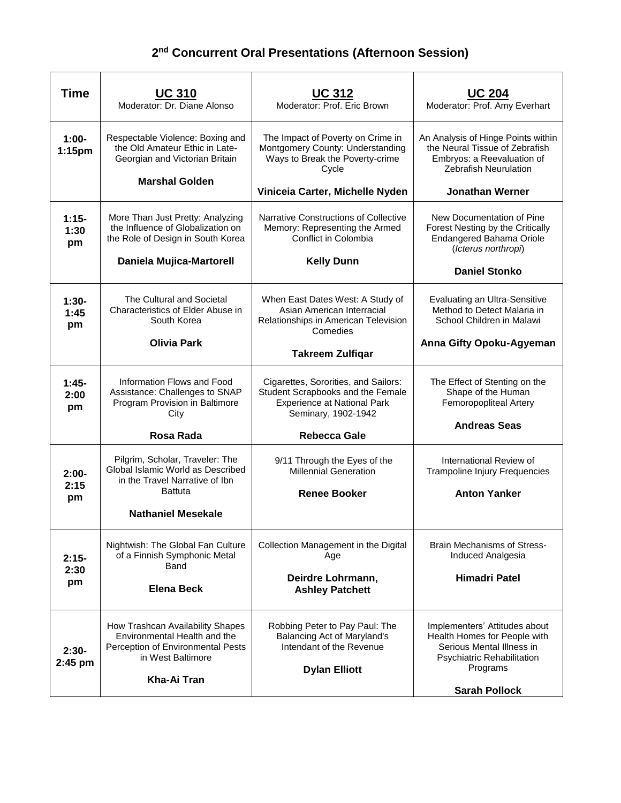## **2 nd Concurrent Oral Presentations (Afternoon Session)**

| <b>Time</b>            | <u>UC 310</u><br>Moderator: Dr. Diane Alonso                                                                                              | <u>UC 312</u><br>Moderator: Prof. Eric Brown                                                                                           | <b>UC 204</b><br>Moderator: Prof. Amy Everhart                                                                                       |
|------------------------|-------------------------------------------------------------------------------------------------------------------------------------------|----------------------------------------------------------------------------------------------------------------------------------------|--------------------------------------------------------------------------------------------------------------------------------------|
| $1:00-$<br>1:15pm      | Respectable Violence: Boxing and<br>the Old Amateur Ethic in Late-<br>Georgian and Victorian Britain<br><b>Marshal Golden</b>             | The Impact of Poverty on Crime in<br>Montgomery County: Understanding<br>Ways to Break the Poverty-crime<br>Cycle                      | An Analysis of Hinge Points within<br>the Neural Tissue of Zebrafish<br>Embryos: a Reevaluation of<br><b>Zebrafish Neurulation</b>   |
|                        |                                                                                                                                           | Viniceia Carter, Michelle Nyden                                                                                                        | <b>Jonathan Werner</b>                                                                                                               |
| $1:15-$<br>1:30<br>pm  | More Than Just Pretty: Analyzing<br>the Influence of Globalization on<br>the Role of Design in South Korea<br>Daniela Mujica-Martorell    | Narrative Constructions of Collective<br>Memory: Representing the Armed<br>Conflict in Colombia<br><b>Kelly Dunn</b>                   | New Documentation of Pine<br>Forest Nesting by the Critically<br>Endangered Bahama Oriole<br>(Icterus northropi)                     |
|                        |                                                                                                                                           |                                                                                                                                        | <b>Daniel Stonko</b>                                                                                                                 |
| $1:30-$<br>1:45<br>pm  | The Cultural and Societal<br>Characteristics of Elder Abuse in<br>South Korea                                                             | When East Dates West: A Study of<br>Asian American Interracial<br>Relationships in American Television<br>Comedies                     | <b>Evaluating an Ultra-Sensitive</b><br>Method to Detect Malaria in<br>School Children in Malawi                                     |
|                        | <b>Olivia Park</b>                                                                                                                        | <b>Takreem Zulfiqar</b>                                                                                                                | Anna Gifty Opoku-Agyeman                                                                                                             |
| $1:45-$<br>2:00<br>pm  | Information Flows and Food<br>Assistance: Challenges to SNAP<br>Program Provision in Baltimore<br>City                                    | Cigarettes, Sororities, and Sailors:<br>Student Scrapbooks and the Female<br><b>Experience at National Park</b><br>Seminary, 1902-1942 | The Effect of Stenting on the<br>Shape of the Human<br>Femoropopliteal Artery                                                        |
|                        | Rosa Rada                                                                                                                                 | <b>Rebecca Gale</b>                                                                                                                    | <b>Andreas Seas</b>                                                                                                                  |
| $2:00 -$<br>2:15<br>pm | Pilgrim, Scholar, Traveler: The<br>Global Islamic World as Described<br>in the Travel Narrative of Ibn<br><b>Battuta</b>                  | 9/11 Through the Eyes of the<br><b>Millennial Generation</b><br><b>Renee Booker</b>                                                    | International Review of<br><b>Trampoline Injury Frequencies</b><br><b>Anton Yanker</b>                                               |
|                        | <b>Nathaniel Mesekale</b>                                                                                                                 |                                                                                                                                        |                                                                                                                                      |
| $2:15-$<br>2:30<br>pm  | Nightwish: The Global Fan Culture<br>of a Finnish Symphonic Metal<br>Band                                                                 | Collection Management in the Digital<br>Age                                                                                            | <b>Brain Mechanisms of Stress-</b><br>Induced Analgesia                                                                              |
|                        | <b>Elena Beck</b>                                                                                                                         | Deirdre Lohrmann,<br><b>Ashley Patchett</b>                                                                                            | <b>Himadri Patel</b>                                                                                                                 |
| $2:30-$<br>$2:45$ pm   | How Trashcan Availability Shapes<br>Environmental Health and the<br>Perception of Environmental Pests<br>in West Baltimore<br>Kha-Ai Tran | Robbing Peter to Pay Paul: The<br>Balancing Act of Maryland's<br>Intendant of the Revenue<br><b>Dylan Elliott</b>                      | Implementers' Attitudes about<br>Health Homes for People with<br>Serious Mental Illness in<br>Psychiatric Rehabilitation<br>Programs |
|                        |                                                                                                                                           |                                                                                                                                        | <b>Sarah Pollock</b>                                                                                                                 |